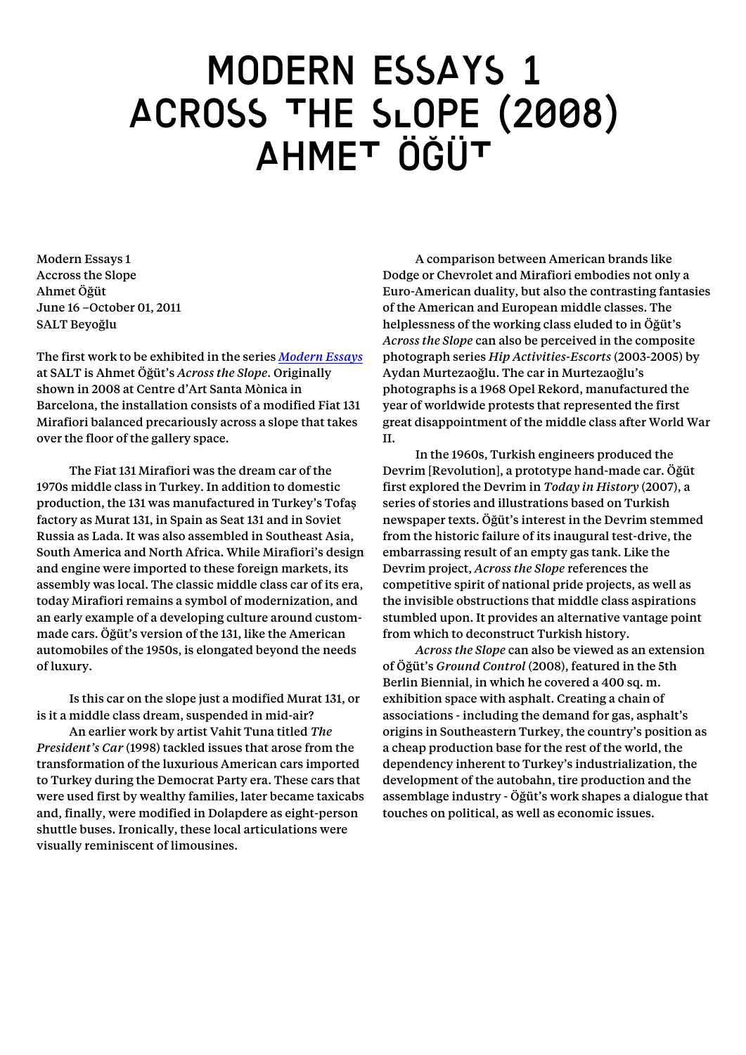## MODERN ESSAYS 1 ACROSS THE SLOPE (2008) Ahmet Öğüt

Modern Essays 1 Accross the Slope Ahmet Öğüt June 16 –October 01, 2011 SALT Beyoğlu

The first work to be exhibited in the series *Modern Essays* at SALT is Ahmet Öğüt's *Across the Slope*. Originally shown in 2008 at Centre d'Art Santa Mònica in Barcelona, the installation consists of a modified Fiat 131 Mirafiori balanced precariously across a slope that takes over the floor of the gallery space.

The Fiat 131 Mirafiori was the dream car of the 1970s middle class in Turkey. In addition to domestic production, the 131 was manufactured in Turkey's Tofaş factory as Murat 131, in Spain as Seat 131 and in Soviet Russia as Lada. It was also assembled in Southeast Asia, South America and North Africa. While Mirafiori's design and engine were imported to these foreign markets, its assembly was local. The classic middle class car of its era, today Mirafiori remains a symbol of modernization, and an early example of a developing culture around custommade cars. Öğüt's version of the 131, like the American automobiles of the 1950s, is elongated beyond the needs of luxury.

Is this car on the slope just a modified Murat 131, or is it a middle class dream, suspended in mid-air?

An earlier work by artist Vahit Tuna titled *The President's Car* (1998) tackled issues that arose from the transformation of the luxurious American cars imported to Turkey during the Democrat Party era. These cars that were used first by wealthy families, later became taxicabs and, finally, were modified in Dolapdere as eight-person shuttle buses. Ironically, these local articulations were visually reminiscent of limousines.

A comparison between American brands like Dodge or Chevrolet and Mirafiori embodies not only a Euro-American duality, but also the contrasting fantasies of the American and European middle classes. The helplessness of the working class eluded to in Öğüt's *Across the Slope* can also be perceived in the composite photograph series *Hip Activities-Escorts* (2003-2005) by Aydan Murtezaoğlu. The car in Murtezaoğlu's photographs is a 1968 Opel Rekord, manufactured the year of worldwide protests that represented the first great disappointment of the middle class after World War II.

In the 1960s, Turkish engineers produced the Devrim [Revolution], a prototype hand-made car. Öğüt first explored the Devrim in *Today in History* (2007), a series of stories and illustrations based on Turkish newspaper texts. Öğüt's interest in the Devrim stemmed from the historic failure of its inaugural test-drive, the embarrassing result of an empty gas tank. Like the Devrim project, *Across the Slope* references the competitive spirit of national pride projects, as well as the invisible obstructions that middle class aspirations stumbled upon. It provides an alternative vantage point from which to deconstruct Turkish history.

*Across the Slope* can also be viewed as an extension of Öğüt's *Ground Control* (2008), featured in the 5th Berlin Biennial, in which he covered a 400 sq. m. exhibition space with asphalt. Creating a chain of associations - including the demand for gas, asphalt's origins in Southeastern Turkey, the country's position as a cheap production base for the rest of the world, the dependency inherent to Turkey's industrialization, the development of the autobahn, tire production and the assemblage industry - Öğüt's work shapes a dialogue that touches on political, as well as economic issues.